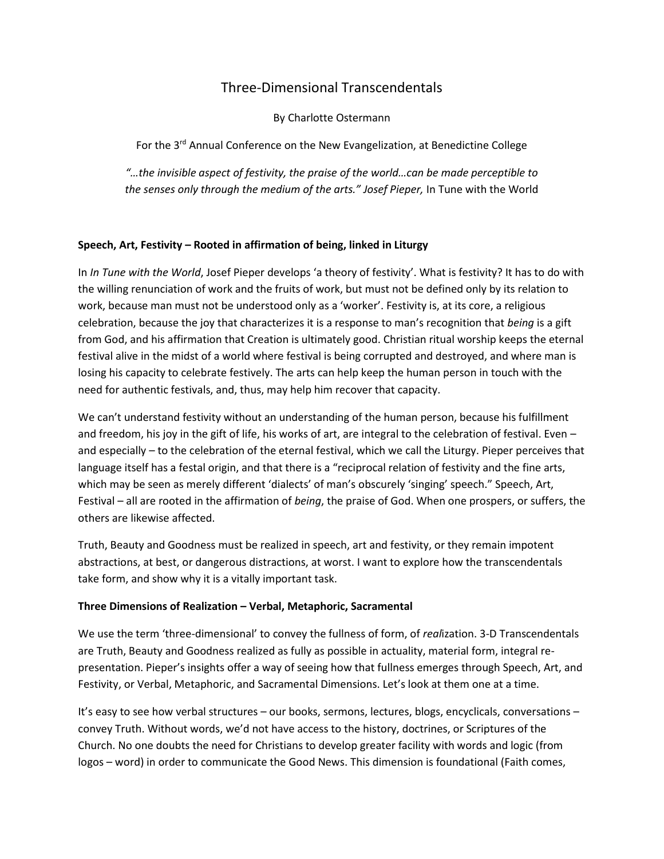# Three-Dimensional Transcendentals

By Charlotte Ostermann

For the 3<sup>rd</sup> Annual Conference on the New Evangelization, at Benedictine College

*"…the invisible aspect of festivity, the praise of the world…can be made perceptible to the senses only through the medium of the arts." Josef Pieper,* In Tune with the World

# **Speech, Art, Festivity – Rooted in affirmation of being, linked in Liturgy**

In *In Tune with the World*, Josef Pieper develops 'a theory of festivity'. What is festivity? It has to do with the willing renunciation of work and the fruits of work, but must not be defined only by its relation to work, because man must not be understood only as a 'worker'. Festivity is, at its core, a religious celebration, because the joy that characterizes it is a response to man's recognition that *being* is a gift from God, and his affirmation that Creation is ultimately good. Christian ritual worship keeps the eternal festival alive in the midst of a world where festival is being corrupted and destroyed, and where man is losing his capacity to celebrate festively. The arts can help keep the human person in touch with the need for authentic festivals, and, thus, may help him recover that capacity.

We can't understand festivity without an understanding of the human person, because his fulfillment and freedom, his joy in the gift of life, his works of art, are integral to the celebration of festival. Even – and especially – to the celebration of the eternal festival, which we call the Liturgy. Pieper perceives that language itself has a festal origin, and that there is a "reciprocal relation of festivity and the fine arts, which may be seen as merely different 'dialects' of man's obscurely 'singing' speech." Speech, Art, Festival – all are rooted in the affirmation of *being*, the praise of God. When one prospers, or suffers, the others are likewise affected.

Truth, Beauty and Goodness must be realized in speech, art and festivity, or they remain impotent abstractions, at best, or dangerous distractions, at worst. I want to explore how the transcendentals take form, and show why it is a vitally important task.

# **Three Dimensions of Realization – Verbal, Metaphoric, Sacramental**

We use the term 'three-dimensional' to convey the fullness of form, of *real*ization. 3-D Transcendentals are Truth, Beauty and Goodness realized as fully as possible in actuality, material form, integral representation. Pieper's insights offer a way of seeing how that fullness emerges through Speech, Art, and Festivity, or Verbal, Metaphoric, and Sacramental Dimensions. Let's look at them one at a time.

It's easy to see how verbal structures – our books, sermons, lectures, blogs, encyclicals, conversations – convey Truth. Without words, we'd not have access to the history, doctrines, or Scriptures of the Church. No one doubts the need for Christians to develop greater facility with words and logic (from logos – word) in order to communicate the Good News. This dimension is foundational (Faith comes,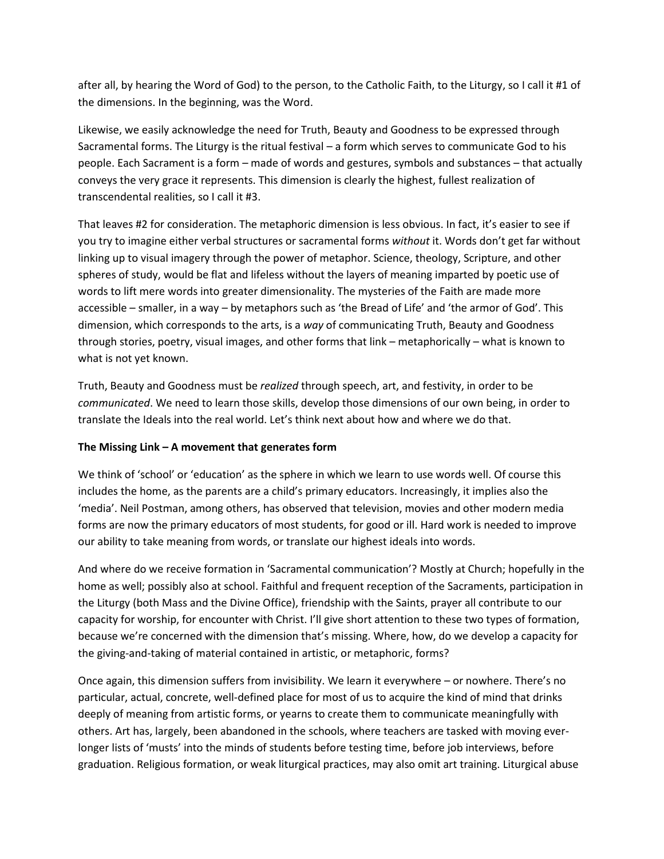after all, by hearing the Word of God) to the person, to the Catholic Faith, to the Liturgy, so I call it #1 of the dimensions. In the beginning, was the Word.

Likewise, we easily acknowledge the need for Truth, Beauty and Goodness to be expressed through Sacramental forms. The Liturgy is the ritual festival – a form which serves to communicate God to his people. Each Sacrament is a form – made of words and gestures, symbols and substances – that actually conveys the very grace it represents. This dimension is clearly the highest, fullest realization of transcendental realities, so I call it #3.

That leaves #2 for consideration. The metaphoric dimension is less obvious. In fact, it's easier to see if you try to imagine either verbal structures or sacramental forms *without* it. Words don't get far without linking up to visual imagery through the power of metaphor. Science, theology, Scripture, and other spheres of study, would be flat and lifeless without the layers of meaning imparted by poetic use of words to lift mere words into greater dimensionality. The mysteries of the Faith are made more accessible – smaller, in a way – by metaphors such as 'the Bread of Life' and 'the armor of God'. This dimension, which corresponds to the arts, is a *way* of communicating Truth, Beauty and Goodness through stories, poetry, visual images, and other forms that link – metaphorically – what is known to what is not yet known.

Truth, Beauty and Goodness must be *realized* through speech, art, and festivity, in order to be *communicated*. We need to learn those skills, develop those dimensions of our own being, in order to translate the Ideals into the real world. Let's think next about how and where we do that.

### **The Missing Link – A movement that generates form**

We think of 'school' or 'education' as the sphere in which we learn to use words well. Of course this includes the home, as the parents are a child's primary educators. Increasingly, it implies also the 'media'. Neil Postman, among others, has observed that television, movies and other modern media forms are now the primary educators of most students, for good or ill. Hard work is needed to improve our ability to take meaning from words, or translate our highest ideals into words.

And where do we receive formation in 'Sacramental communication'? Mostly at Church; hopefully in the home as well; possibly also at school. Faithful and frequent reception of the Sacraments, participation in the Liturgy (both Mass and the Divine Office), friendship with the Saints, prayer all contribute to our capacity for worship, for encounter with Christ. I'll give short attention to these two types of formation, because we're concerned with the dimension that's missing. Where, how, do we develop a capacity for the giving-and-taking of material contained in artistic, or metaphoric, forms?

Once again, this dimension suffers from invisibility. We learn it everywhere – or nowhere. There's no particular, actual, concrete, well-defined place for most of us to acquire the kind of mind that drinks deeply of meaning from artistic forms, or yearns to create them to communicate meaningfully with others. Art has, largely, been abandoned in the schools, where teachers are tasked with moving everlonger lists of 'musts' into the minds of students before testing time, before job interviews, before graduation. Religious formation, or weak liturgical practices, may also omit art training. Liturgical abuse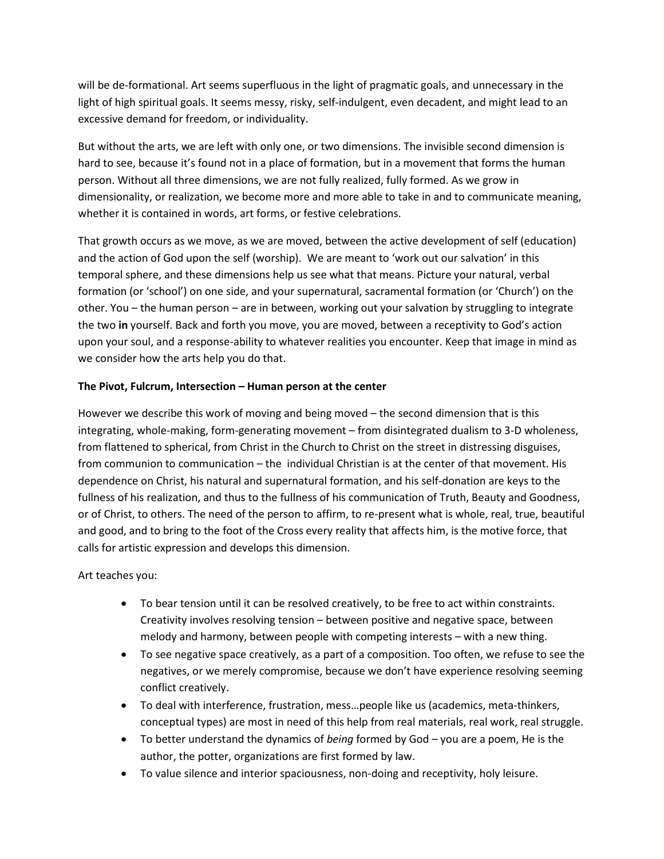will be de-formational. Art seems superfluous in the light of pragmatic goals, and unnecessary in the light of high spiritual goals. It seems messy, risky, self-indulgent, even decadent, and might lead to an excessive demand for freedom, or individuality.

But without the arts, we are left with only one, or two dimensions. The invisible second dimension is hard to see, because it's found not in a place of formation, but in a movement that forms the human person. Without all three dimensions, we are not fully realized, fully formed. As we grow in dimensionality, or realization, we become more and more able to take in and to communicate meaning, whether it is contained in words, art forms, or festive celebrations.

That growth occurs as we move, as we are moved, between the active development of self (education) and the action of God upon the self (worship). We are meant to 'work out our salvation' in this temporal sphere, and these dimensions help us see what that means. Picture your natural, verbal formation (or 'school') on one side, and your supernatural, sacramental formation (or 'Church') on the other. You – the human person – are in between, working out your salvation by struggling to integrate the two **in** yourself. Back and forth you move, you are moved, between a receptivity to God's action upon your soul, and a response-ability to whatever realities you encounter. Keep that image in mind as we consider how the arts help you do that.

### **The Pivot, Fulcrum, Intersection – Human person at the center**

However we describe this work of moving and being moved – the second dimension that is this integrating, whole-making, form-generating movement – from disintegrated dualism to 3-D wholeness, from flattened to spherical, from Christ in the Church to Christ on the street in distressing disguises, from communion to communication – the individual Christian is at the center of that movement. His dependence on Christ, his natural and supernatural formation, and his self-donation are keys to the fullness of his realization, and thus to the fullness of his communication of Truth, Beauty and Goodness, or of Christ, to others. The need of the person to affirm, to re-present what is whole, real, true, beautiful and good, and to bring to the foot of the Cross every reality that affects him, is the motive force, that calls for artistic expression and develops this dimension.

Art teaches you:

- To bear tension until it can be resolved creatively, to be free to act within constraints. Creativity involves resolving tension – between positive and negative space, between melody and harmony, between people with competing interests – with a new thing.
- To see negative space creatively, as a part of a composition. Too often, we refuse to see the negatives, or we merely compromise, because we don't have experience resolving seeming conflict creatively.
- To deal with interference, frustration, mess…people like us (academics, meta-thinkers, conceptual types) are most in need of this help from real materials, real work, real struggle.
- To better understand the dynamics of *being* formed by God you are a poem, He is the author, the potter, organizations are first formed by law.
- To value silence and interior spaciousness, non-doing and receptivity, holy leisure.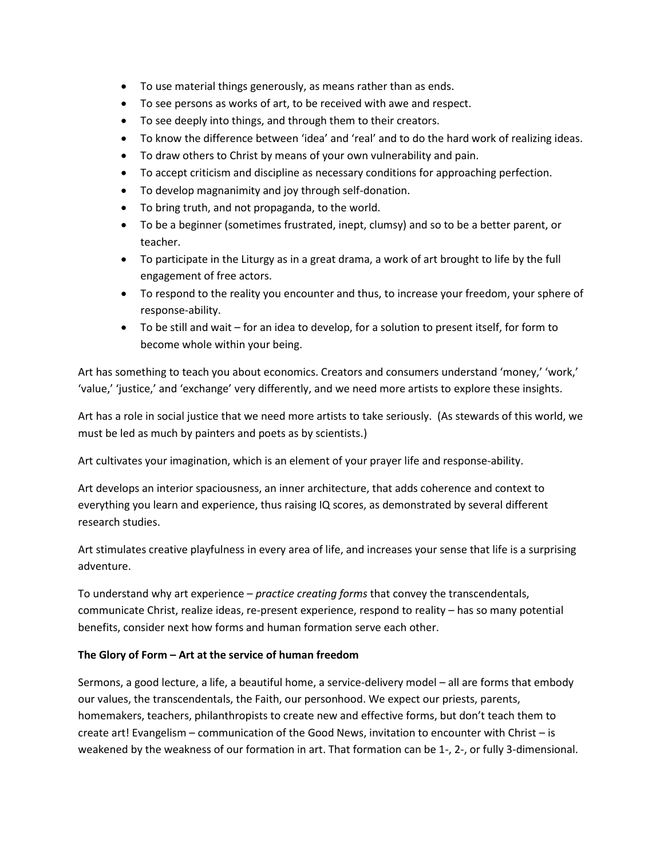- To use material things generously, as means rather than as ends.
- To see persons as works of art, to be received with awe and respect.
- To see deeply into things, and through them to their creators.
- To know the difference between 'idea' and 'real' and to do the hard work of realizing ideas.
- To draw others to Christ by means of your own vulnerability and pain.
- To accept criticism and discipline as necessary conditions for approaching perfection.
- To develop magnanimity and joy through self-donation.
- To bring truth, and not propaganda, to the world.
- To be a beginner (sometimes frustrated, inept, clumsy) and so to be a better parent, or teacher.
- To participate in the Liturgy as in a great drama, a work of art brought to life by the full engagement of free actors.
- To respond to the reality you encounter and thus, to increase your freedom, your sphere of response-ability.
- To be still and wait for an idea to develop, for a solution to present itself, for form to become whole within your being.

Art has something to teach you about economics. Creators and consumers understand 'money,' 'work,' 'value,' 'justice,' and 'exchange' very differently, and we need more artists to explore these insights.

Art has a role in social justice that we need more artists to take seriously. (As stewards of this world, we must be led as much by painters and poets as by scientists.)

Art cultivates your imagination, which is an element of your prayer life and response-ability.

Art develops an interior spaciousness, an inner architecture, that adds coherence and context to everything you learn and experience, thus raising IQ scores, as demonstrated by several different research studies.

Art stimulates creative playfulness in every area of life, and increases your sense that life is a surprising adventure.

To understand why art experience – *practice creating forms* that convey the transcendentals, communicate Christ, realize ideas, re-present experience, respond to reality – has so many potential benefits, consider next how forms and human formation serve each other.

# **The Glory of Form – Art at the service of human freedom**

Sermons, a good lecture, a life, a beautiful home, a service-delivery model – all are forms that embody our values, the transcendentals, the Faith, our personhood. We expect our priests, parents, homemakers, teachers, philanthropists to create new and effective forms, but don't teach them to create art! Evangelism – communication of the Good News, invitation to encounter with Christ – is weakened by the weakness of our formation in art. That formation can be 1-, 2-, or fully 3-dimensional.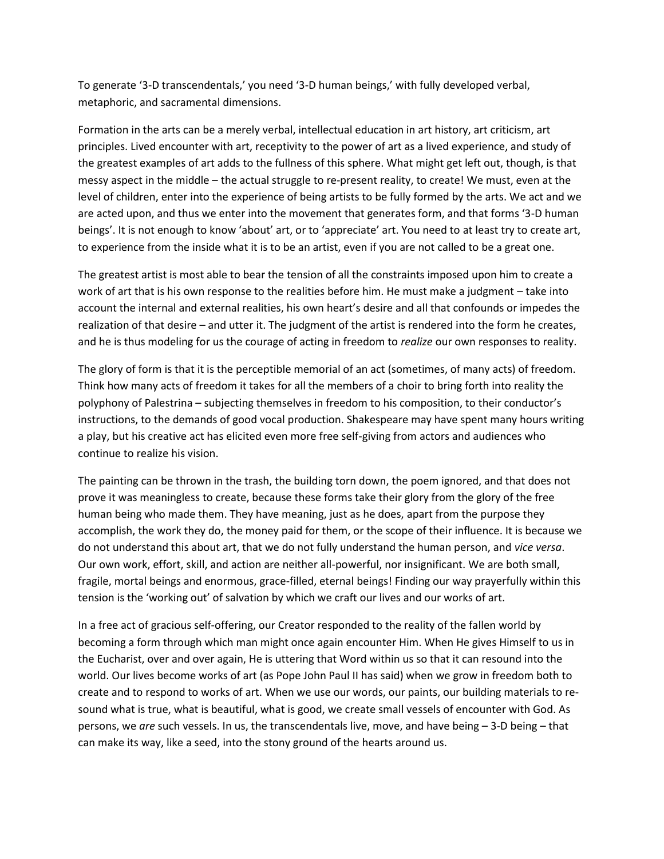To generate '3-D transcendentals,' you need '3-D human beings,' with fully developed verbal, metaphoric, and sacramental dimensions.

Formation in the arts can be a merely verbal, intellectual education in art history, art criticism, art principles. Lived encounter with art, receptivity to the power of art as a lived experience, and study of the greatest examples of art adds to the fullness of this sphere. What might get left out, though, is that messy aspect in the middle – the actual struggle to re-present reality, to create! We must, even at the level of children, enter into the experience of being artists to be fully formed by the arts. We act and we are acted upon, and thus we enter into the movement that generates form, and that forms '3-D human beings'. It is not enough to know 'about' art, or to 'appreciate' art. You need to at least try to create art, to experience from the inside what it is to be an artist, even if you are not called to be a great one.

The greatest artist is most able to bear the tension of all the constraints imposed upon him to create a work of art that is his own response to the realities before him. He must make a judgment – take into account the internal and external realities, his own heart's desire and all that confounds or impedes the realization of that desire – and utter it. The judgment of the artist is rendered into the form he creates, and he is thus modeling for us the courage of acting in freedom to *realize* our own responses to reality.

The glory of form is that it is the perceptible memorial of an act (sometimes, of many acts) of freedom. Think how many acts of freedom it takes for all the members of a choir to bring forth into reality the polyphony of Palestrina – subjecting themselves in freedom to his composition, to their conductor's instructions, to the demands of good vocal production. Shakespeare may have spent many hours writing a play, but his creative act has elicited even more free self-giving from actors and audiences who continue to realize his vision.

The painting can be thrown in the trash, the building torn down, the poem ignored, and that does not prove it was meaningless to create, because these forms take their glory from the glory of the free human being who made them. They have meaning, just as he does, apart from the purpose they accomplish, the work they do, the money paid for them, or the scope of their influence. It is because we do not understand this about art, that we do not fully understand the human person, and *vice versa*. Our own work, effort, skill, and action are neither all-powerful, nor insignificant. We are both small, fragile, mortal beings and enormous, grace-filled, eternal beings! Finding our way prayerfully within this tension is the 'working out' of salvation by which we craft our lives and our works of art.

In a free act of gracious self-offering, our Creator responded to the reality of the fallen world by becoming a form through which man might once again encounter Him. When He gives Himself to us in the Eucharist, over and over again, He is uttering that Word within us so that it can resound into the world. Our lives become works of art (as Pope John Paul II has said) when we grow in freedom both to create and to respond to works of art. When we use our words, our paints, our building materials to resound what is true, what is beautiful, what is good, we create small vessels of encounter with God. As persons, we *are* such vessels. In us, the transcendentals live, move, and have being – 3-D being – that can make its way, like a seed, into the stony ground of the hearts around us.